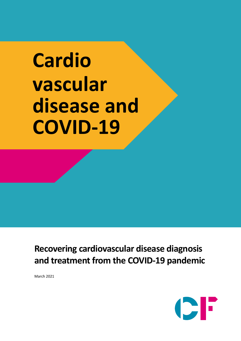# **Cardio vascular disease and COVID-19**

**Recovering cardiovascular disease diagnosis and treatment from the COVID-19 pandemic**

March 2021

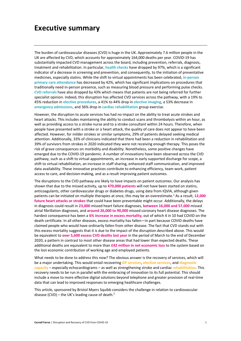### **Executive summary**

The burden of cardiovascular diseases (CVD) is huge in the UK. Approximately 7.6 million people in the UK are affected by CVD, which accounts for approximately 164,000 deaths per year. COVID-19 has substantially impacted CVD management across the board, including prevention, referrals, diagnosis, treatment and rehabilitation. In particular, **health checks** have dropped by 97%, which is a significant indicator of a decrease in screening and prevention, and consequently, to the initiation of preventative medicines, especially statins. While the shift to virtual appointments has been celebrated, **in-person primary care attendance** has decreased by 42%, which has significant implications on procedures that traditionally need in-person presence, such as measuring blood pressure and performing pulse checks. **CVD referrals** have also dropped by 43% which means that patients are not being referred for further specialist opinion. Indeed, this disruption has affected CVD services across the pathway, with a 19% to 45% reduction in **elective procedures**, a 41% to 44% drop in **elective imaging**, a 53% decrease in **emergency admissions**, and 36% drop in **cardiac rehabilitation** group exercise.

However, the disruption to acute services has had no impact on the ability to treat acute strokes and heart attacks. This includes maintaining the ability to conduct scans and thrombolysis within an hour, as well as providing access to a stroke nurse and to a stroke consultant within 24 hours. Therefore, when people have presented with a stroke or a heart attack, the quality of care does not appear to have been affected. However, for milder strokes or similar symptoms, 29% of patients delayed seeking medical attention. Additionally, 33% of clinicians indicated that there had been a reduction in rehabilitation and 39% of survivors from strokes in 2020 indicated they were not receiving enough therapy. This poses the risk of grave consequences on morbidity and disability. Nonetheless, some positive changes have emerged due to the COVID-19 pandemic. A number of innovations have been observed across the CVD pathway, such as a shift to virtual appointments, an increase in early supported discharge for scope, a shift to virtual rehabilitation, an increase in staff sharing, enhanced staff communication, and improved data availability. These innovative practices contribute to enhancing efficiency, team work, patient access to care, and decision-making, and as a result improving patient outcomes.

The disruptions to the CVD pathway are likely to have impacts on patient outcomes. Our analysis has shown that due to the missed activity, up to **470,000 patients** will not have been started on statins, anticoagulants, other cardiovascular drugs or diabetes drugs, using data from IQVIA, although given patients can be initiated on multiple therapies at once, this may be an overestimate. <sup>1</sup> As a result, **12,000 future heart attacks or strokes** that could have been preventable might occur. Additionally, the delays in diagnosis could result in **23,000** missed heart failure diagnoses, **between 16,000 and 57,000** missed atrial fibrillation diagnoses, and **around 26,000 to 90,000** missed coronary heart disease diagnoses. The hardest consequence has been a **6% increase in excess mortality**, out of which 4 in 10 had COVID on the death certificate. In all other diseases, excess mortality has fallen—in part because COVID deaths have claimed people who would have ordinarily fallen from other disease. The fact that CVD stands out with this excess mortality suggests that it is due to the impact of the disruption described above. This would be equivalent to **over 5,600 excess CVD deaths last year** in the period of March to the end of December 2020, a pattern in contrast to most other disease areas that had lower than expected deaths. These additional deaths are equivalent to more than **£42 million in net economic loss** to the system based on the lost economic contribution of working age and employed patients.

What needs to be done to address this now? The obvious answer is the recovery of services, which will be a major undertaking. This would entail recovering **GP services**, **elective services**, and **diagnostic capacity** – especially echocardiograms – as well as strengthening stroke and cardiac **rehabilitation**. This recovery needs to be run in parallel with the embracing of innovation to its full potential. This should include a move to more effective digital solutions beyond telephone and greater provision of real-time data that can lead to improved responses to emerging healthcare challenges.

This article, sponsored by Bristol Myers Squibb considers the challenge in relation to cardiovascular disease (CVD) – the UK's leading cause of death. $^2$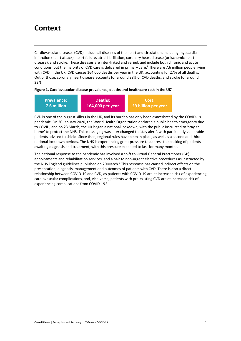## **Context**

Cardiovascular diseases (CVD) include all diseases of the heart and circulation, including myocardial infarction (heart attack), heart failure, atrial fibrillation, coronary heart disease (or ischemic heart disease), and stroke. These diseases are inter-linked and varied, and include both chronic and acute conditions, but the majority of CVD care is delivered in primary care.<sup>3</sup> There are 7.6 million people living with CVD in the UK. CVD causes 164,000 deaths per year in the UK, accounting for 27% of all deaths.<sup>4</sup> Out of those, coronary heart disease accounts for around 38% of CVD deaths, and stroke for around 22%.

#### **Figure 1. Cardiovascular disease prevalence, deaths and healthcare cost in the UK**<sup>4</sup>

| <b>Prevalence:</b> | Deaths:          | Cost:                      |
|--------------------|------------------|----------------------------|
| 7.6 million        | 164,000 per year | <b>E9 billion per year</b> |

CVD is one of the biggest killers in the UK, and its burden has only been exacerbated by the COVID-19 pandemic. On 30 January 2020, the World Health Organization declared a public health emergency due to COVID, and on 23 March, the UK began a national lockdown, with the public instructed to 'stay at home' to protect the NHS. This messaging was later changed to 'stay alert', with particularly vulnerable patients advised to shield. Since then, regional rules have been in place, as well as a second and third national lockdown periods. The NHS is experiencing great pressure to address the backlog of patients awaiting diagnosis and treatment, with this pressure expected to last for many months.

The national response to the pandemic has involved a shift to virtual General Practitioner (GP) appointments and rehabilitation services, and a halt to non-urgent elective procedures as instructed by the NHS England guidelines published on 20 March.<sup>5</sup> This response has caused indirect effects on the presentation, diagnosis, management and outcomes of patients with CVD. There is also a direct relationship between COVID-19 and CVD, as patients with COVID-19 are at increased risk of experiencing cardiovascular complications, and, vice-versa, patients with pre-existing CVD are at increased risk of experiencing complications from COVID-19.<sup>6</sup>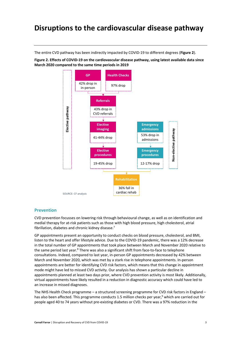## **Disruptions to the cardiovascular disease pathway**

The entire CVD pathway has been indirectly impacted by COVID-19 to different degrees (**Figure 2**).

**Figure 2. Effects of COVID-19 on the cardiovascular disease pathway, using latest available data since March 2020 compared to the same time periods in 2019**



#### **Prevention**

CVD prevention focusses on lowering risk through behavioural change, as well as on identification and medial therapy for at-risk patients such as those with high blood pressure, high cholesterol, atrial fibrillation, diabetes and chronic kidney disease.<sup>7</sup>

GP appointments present an opportunity to conduct checks on blood pressure, cholesterol, and BMI, listen to the heart and offer lifestyle advice. Due to the COVID-19 pandemic, there was a 12% decrease in the total number of GP appointments that took place between March and November 2020 relative to the same period last year.<sup>8</sup> There was also a significant shift from face-to-face to telephone consultations. Indeed, compared to last year, in-person GP appointments decreased by 42% between March and November 2020, which was met by a stark rise in telephone appointments. In-person appointments are better for identifying CVD risk factors, which means that this change in appointment mode might have led to missed CVD activity. Our analysis has shown a particular decline in appointments planned at least two days prior, where CVD prevention activity is most likely. Additionally, virtual appointments have likely resulted in a reduction in diagnostic accuracy which could have led to an increase in missed diagnoses.

The NHS Health Check programme – a structured screening programme for CVD risk factors in England – has also been affected. This programme conducts 1.5 million checks per year,<sup>9</sup> which are carried out for people aged 40 to 74 years without pre-existing diabetes or CVD. There was a 97% reduction in the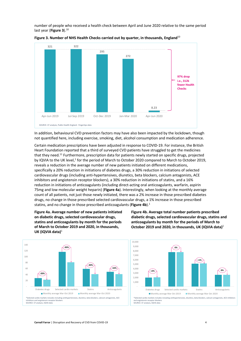number of people who received a health check between April and June 2020 relative to the same period last year (**Figure 3**). 10





In addition, behavioural CVD prevention factors may have also been impacted by the lockdown, though not quantified here, including exercise, smoking, diet, alcohol consumption and medication adherence.

Certain medication prescriptions have been adjusted in response to COVID-19. For instance, the British Heart Foundation reported that a third of surveyed CVD patients have struggled to get the medicines that they need.<sup>11</sup> Furthermore, prescription data for patients newly started on specific drugs, projected by IQVIA to the UK level,<sup>1</sup> for the period of March to October 2020 compared to March to October 2019, reveals a reduction in the average number of new patients initiated on different medications, specifically a 20% reduction in initiations of diabetes drugs, a 30% reduction in initiations of selected cardiovascular drugs (including anti-hypertensives, diuretics, beta blockers, calcium antagonists, ACE inhibitors and angiotensin receptor blockers), a 30% reduction in initiations of statins, and a 16% reduction in initiations of anticoagulants (including direct-acting oral anticoagulants, warfarin, aspirin 75mg and low molecular weight heparin) (**Figure 4a**). Interestingly, when looking at the monthly average count of all patients, not just those newly initiated, there was a 2% increase in those prescribed diabetes drugs, no change in those prescribed selected cardiovascular drugs, a 1% increase in those prescribed statins, and no change in those prescribed anticoagulants (**Figure 4b**). 1

**Figure 4a. Average number of new patients initiated on diabetic drugs, selected cardiovascular drugs, statins and anticoagulants by month for the periods of March to October 2019 and 2020, in thousands, UK (IQVIA data)**<sup>1</sup>







\*Selected cardio markets includes including antihypertensives, diuretics, beta blockers, calcium antagonists, ACE inhibitors ansin receptor blocker SOURCE: CF analysis, IQVIA data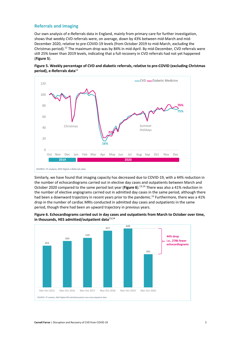#### **Referrals and imaging**

Our own analysis of e-Referrals data in England, mainly from primary care for further investigation, shows that weekly CVD referrals were, on average, down by 43% between mid-March and mid-December 2020, relative to pre-COVID-19 levels (from October 2019 to mid-March, excluding the Christmas period).<sup>12</sup> The maximum drop was by 84% in mid-April. By mid-December, CVD referrals were still 25% lower than 2019 levels, indicating that a full recovery in CVD referrals had not yet happened (**Figure 5**).





Similarly, we have found that imaging capacity has decreased due to COVID-19, with a 44% reduction in the number of echocardiograms carried out in elective day cases and outpatients between March and October 2020 compared to the same period last year (**Figure 6**).13,14 There was also a 41% reduction in the number of elective angiograms carried out in admitted day cases in the same period, although there had been a downward trajectory in recent years prior to the pandemic.<sup>13</sup> Furthermore, there was a 41% drop in the number of cardiac MRIs conducted in admitted day cases and outpatients in the same period, though there had been an upward trajectory in previous years.



#### **Figure 6. Echocardiograms carried out in day cases and outpatients from March to October over time, in thousands, HES admitted/outpatient data**<sup>13</sup>**,**<sup>14</sup>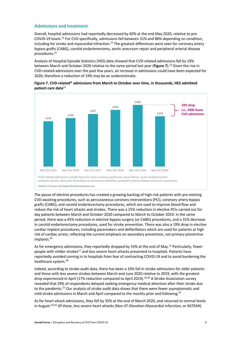#### **Admissions and treatment**

Overall, hospital admissions had reportedly decreased by 60% at the end May 2020, relative to pre-COVID-19 levels. <sup>15</sup> For CVD specifically, admissions fell between 31% and 88% depending on condition, including for stroke and myocardial infraction.<sup>15</sup> The greatest differences were seen for coronary artery bypass grafts (CABG), carotid endarterectomy, aortic aneurysm repair and peripheral arterial disease procedures.15

Analysis of Hospital Episode Statistics (HES) data showed that CVD-related admissions fell by 19% between March and October 2020 relative to the same period last year (**Figure 7**).13 Given the rise in CVD-related admissions over the past few years, an increase in admissions could have been expected for 2020, therefore a reduction of 19% may be an underestimate.





The pause of elective procedures has created a growing backlog of high-risk patients with pre-existing CVD awaiting procedures, such as percutaneous coronary interventions (PCI), coronary artery bypass grafts (CABG), and carotid endarterectomy procedures, which are used to improve blood flow and reduce the risk of heart attacks and strokes. There was a 25% reduction in elective PCIs carried out for day patients between March and October 2020 compared to March to October 2019. In the same period, there was a 45% reduction in elective bypass surgery (or CABG) procedures, and a 31% decrease in carotid endarterectomy procedures, used for stroke prevention. There was also a 19% drop in elective cardiac implant procedures, including pacemakers and defibrillators which are used for patients at high risk of cardiac arrest, reflecting the current emphasis on secondary prevention, not primary preventive implants.<sup>16</sup>

As for emergency admissions, they reportedly dropped by 53% at the end of May.15 Particularly, fewer people with milder strokes<sup>17</sup> and less severe heart attacks presented to hospitals. Patients have reportedly avoided coming in to hospitals from fear of contracting COVID-19 and to avoid burdening the healthcare system.<sup>18</sup>

Indeed, according to stroke audit data, there has been a 10% fall in stroke admissions for older patients and those with less severe strokes between March and June 2020 relative to 2019, with the greatest drop experienced in April (17% reduction compared to April 2019).<sup>19,20</sup> A Stroke Association survey revealed that 29% of respondents delayed seeking emergency medical attention after their stroke due to the pandemic.<sup>21</sup> Our analysis of stroke audit data shows that there were fewer asymptomatic and mild stroke admissions in March and April compared to the months prior and following.<sup>22</sup>

As for heart attack admissions, they fell by 35% at the end of March 2020, and returned to normal levels in August.<sup>23,24</sup> Of these, less severe heart attacks (Non-ST-Elevation Myocardial Infarction, or NSTEMI)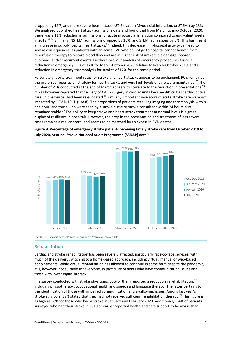dropped by 42%, and more severe heart attacks (ST-Elevation Myocardial Infarction, or STEMI) by 23%. We analysed published heart attack admissions data and found that from March to mid-October 2020, there was a 11% reduction in admissions for acute myocardial infarction compared to equivalent weeks in 2019.<sup>23,24</sup> Similarly, NSTEMI admissions dropped by 16%, and STEMI admissions by 5%. This has meant an increase in out-of-hospital heart attacks.<sup>25</sup> Indeed, this decrease in in-hospital activity can lead to severe consequences, as patients with an acute CVD who do not go to hospital cannot benefit from reperfusion therapy to restore blood flow and are at higher risk of irreversible damage, poorer outcomes and/or recurrent events. Furthermore, our analysis of emergency procedures found a reduction in emergency PCIs of 12% for March-October 2020 relative to March-October 2019, and a reduction in emergency thrombolysis for strokes of 17% for the same period.

Fortunately, acute treatment rates for stroke and heart attacks appear to be unchanged. PCIs remained the preferred reperfusion strategy for heart attacks, and very high levels of care were maintained.<sup>26</sup> The number of PCIs conducted at the end of March appears to correlate to the reduction in presentations.<sup>23</sup> It was however reported that delivery of CABG surgery in cardiac units became difficult as cardiac critical care unit resources had been re-allocated.<sup>16</sup> Similarly, important indicators of acute stroke care were not impacted by COVID-19 (**Figure 8**). The proportions of patients receiving imaging and thrombolysis within one hour, and those who were seen by a stroke nurse or stroke consultant within 24 hours also remained stable.<sup>22</sup> The ability to keep stroke and heart attack treatment at normal levels is a great display of resilience in hospitals. However, the drop in the presentation and treatment of less severe cases remains a real concern, and seems to be matched by an excess in CVD deaths.



**Figure 8. Percentage of emergency stroke patients receiving timely stroke care from October 2019 to July 2020, Sentinel Stroke National Audit Programme (SSNAP) data**<sup>22</sup>

#### **Rehabilitation**

Cardiac and stroke rehabilitation has been severely affected, particularly face-to-face services, with much of the delivery switching to a home-based approach, including virtual, manual or web-based appointments. While virtual rehabilitation has allowed to continue in some form despite the pandemic, it is, however, not suitable for everyone, in particular patients who have communication issues and those with lower digital literacy.

In a survey conducted with stroke physicians, 33% of them reported a reduction in rehabilitation,<sup>27</sup> including physiotherapy, occupational health and speech and language therapy. The latter pertains to the identification of those with impaired communication and swallowing issues. Among last year's stroke survivors, 39% stated that they had not received sufficient rehabilitation therapy.<sup>21</sup> This figure is as high as 56% for those who had a stroke in January and February 2020. Additionally, 34% of patients surveyed who had their stroke in 2019 or earlier reported health and care support to be worse than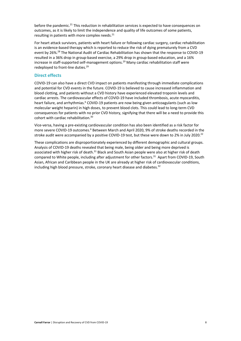before the pandemic.<sup>21</sup> This reduction in rehabilitation services is expected to have consequences on outcomes, as it is likely to limit the independence and quality of life outcomes of some patients, resulting in patients with more complex needs. $^{21}$ 

For heart attack survivors, patients with heart failure or following cardiac surgery, cardiac rehabilitation is an evidence-based therapy which is reported to reduce the risk of dying prematurely from a CVD event by 26%.<sup>28</sup> The National Audit of Cardiac Rehabilitation has shown that the response to COVID-19 resulted in a 36% drop in group-based exercise, a 29% drop in group-based education, and a 16% increase in staff-supported self-management options.29 Many cardiac rehabilitation staff were redeployed to front-line duties.<sup>29</sup>

#### **Direct effects**

COVID-19 can also have a direct CVD impact on patients manifesting through immediate complications and potential for CVD events in the future. COVID-19 is believed to cause increased inflammation and blood clotting, and patients without a CVD history have experienced elevated troponin levels and cardiac arrests. The cardiovascular effects of COVID-19 have included thrombosis, acute myocarditis, heart failure, and arrhythmias.<sup>6</sup> COVID-19 patients are now being given anticoagulants (such as low molecular weight heparin) in high doses, to prevent blood clots. This could lead to long-term CVD consequences for patients with no prior CVD history, signifying that there will be a need to provide this cohort with cardiac rehabilitation.<sup>30</sup>

Vice-versa, having a pre-existing cardiovascular condition has also been identified as a risk factor for more severe COVID-19 outcomes.<sup>6</sup> Between March and April 2020, 9% of stroke deaths recorded in the stroke audit were accompanied by a positive COVID-19 test, but these were down to 2% in July 2020.<sup>22</sup>

These complications are disproportionately experienced by different demographic and cultural groups. Analysis of COVID-19 deaths revealed that being male, being older and being more deprived is associated with higher risk of death.<sup>31</sup> Black and South Asian people were also at higher risk of death compared to White people, including after adjustment for other factors.<sup>31</sup> Apart from COVID-19, South Asian, African and Caribbean people in the UK are already at higher risk of cardiovascular conditions, including high blood pressure, stroke, coronary heart disease and diabetes. 32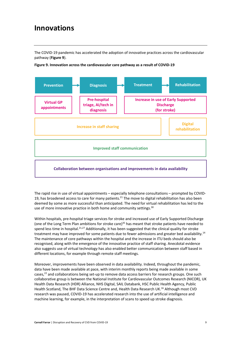## **Innovations**

The COVID-19 pandemic has accelerated the adoption of innovative practices across the cardiovascular pathway (**Figure 9**).



**Figure 9. Innovation across the cardiovascular care pathway as a result of COVID-19**

The rapid rise in use of virtual appointments – especially telephone consultations – prompted by COVID-19, has broadened access to care for many patients.<sup>21</sup> The move to digital rehabilitation has also been deemed by some as more successful than anticipated. The need for virtual rehabilitation has led to the use of more innovative practice in both home and community settings.<sup>30</sup>

Within hospitals, pre-hospital triage services for stroke and increased use of Early Supported Discharge (one of the Long Term Plan ambitions for stroke care)<sup>35</sup> has meant that stroke patients have needed to spend less time in hospital.<sup>21,27</sup> Additionally, it has been suggested that the clinical quality for stroke treatment may have improved for some patients due to fewer admissions and greater bed availability.<sup>14</sup> The maintenance of core pathways within the hospital and the increase in ITU beds should also be recognised, along with the emergence of the innovative practice of staff sharing. Anecdotal evidence also suggests use of virtual technology has also enabled better communication between staff based in different locations, for example through remote staff meetings.

Moreover, improvements have been observed in data availability. Indeed, throughout the pandemic, data have been made available at pace, with interim monthly reports being made available in some cases,22 and collaborations being set-up to remove data access barriers for research groups. One such collaborative group is between the National Institute for Cardiovascular Outcomes Research (NICOR), UK Health Data Research (HDR) Alliance, NHS Digital, SAIL Databank, HSC Public Health Agency, Public Health Scotland, The BHF Data Science Centre and, Health Data Research UK.<sup>16</sup> Although most CVD research was paused, COVID-19 has accelerated research into the use of artificial intelligence and machine learning, for example, in the interpretation of scans to speed up stroke diagnosis.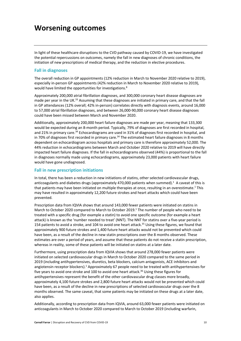## **Worsening outcomes**

In light of these healthcare disruptions to the CVD pathway caused by COVID-19, we have investigated the potential repercussions on outcomes, namely the fall in new diagnoses of chronic conditions, the initiation of new prescriptions of medical therapy, and the reduction in elective procedures.

#### **Fall in diagnoses**

The overall reduction in GP appointments (12% reduction in March to November 2020 relative to 2019), especially in-person GP appointments (42% reduction in March to November 2020 relative to 2019), would have limited the opportunities for investigations.<sup>8</sup>

Approximately 200,000 atrial fibrillation diagnoses, and 300,000 coronary heart disease diagnoses are made per year in the UK.<sup>33</sup> Assuming that these diagnoses are initiated in primary care, and that the fall in GP attendances (12% overall; 42% in-person) correlates directly with diagnosis events, around 16,000 to 57,000 atrial fibrillation diagnoses, and between 26,000-90,000 coronary heart disease diagnoses could have been missed between March and November 2020.

Additionally, approximately 200,000 heart failure diagnoses are made per year, meaning that 133,300 would be expected during an 8-month period. Typically, 79% of diagnoses are first recorded in hospital, and 21% in primary care.<sup>34</sup> Echocardiograms are used in 31% of diagnoses first recorded in hospital, and in 70% of diagnoses first recorded in primary care.<sup>34</sup> The estimated heart failure diagnoses in 8 months dependent on echocardiogram across hospitals and primary care is therefore approximately 52,000. The 44% reduction in echocardiograms between March and October 2020 relative to 2019 will have directly impacted heart failure diagnoses. If the fall in echocardiograms observed (44%) is proportional to the fall in diagnoses normally made using echocardiograms, approximately 23,000 patients with heart failure would have gone undiagnosed.

#### **Fall in new prescription initiations**

In total, there has been a reduction in new initiations of statins, other selected cardiovascular drugs, anticoagulants and diabetes drugs (approximately 470,000 patients when summed).<sup>1</sup> A caveat of this is that patients may have been initiated on multiple therapies at once, resulting in an overestimate.<sup>1</sup> This may have resulted in approximately 12,200 future strokes and heart attacks which could have been prevented.

Prescription data from IQVIA shows that around 143,000 fewer patients were initiated on statins in March to October 2020 compared to March to October 2019. <sup>1</sup> The number of people who need to be treated with a specific drug (for example a statin) to avoid one specific outcome (for example a heart attack) is known as the 'number needed to treat' (NNT). The NNT for statins over a five-year period is 154 patients to avoid a stroke, and 104 to avoid one heart attack.<sup>35</sup> Using these figures, we found that approximately 900 future strokes and 1,400 future heart attacks would not be prevented which could have been, as a result of the decline in new statin prescriptions over the 8 months observed. These estimates are over a period of years, and assume that these patients do not receive a statin prescription, whereas in reality, some of these patients will be initiated on statins at a later date.

Furthermore, using prescription data from IQVIA shows that around 278,000 fewer patients were initiated on selected cardiovascular drugs in March to October 2020 compared to the same period in 2019 (including antihypertensives, diuretics, beta blockers, calcium antagonists, ACE inhibitors and angiotensin receptor blockers).<sup>1</sup> Approximately 67 people need to be treated with antihypertensives for five years to avoid one stroke and 100 to avoid one heart attack.<sup>36</sup> Using these figures for antihypertensives represent the benefit of the other cardiovascular drug classes more broadly, approximately 4,100 future strokes and 2,800 future heart attacks would not be prevented which could have been, as a result of the decline in new prescriptions of selected cardiovascular drugs over the 8 months observed. The same caveat, that some patients may be initiated on these drugs at a later date, also applies.

Additionally, according to prescription data from IQVIA, around 63,000 fewer patients were initiated on anticoagulants in March to October 2020 compared to March to October 2019 (including warfarin,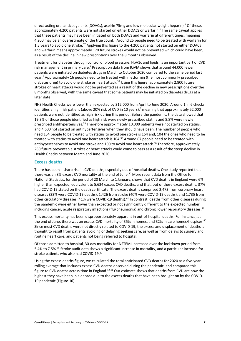direct-acting oral anticoagulants (DOACs), aspirin 75mg and low molecular weight heparin).<sup>1</sup> Of these, approximately 4,200 patients were not started on either DOACs or warfarin.<sup>1</sup> The same caveat applies that these patients may have been initiated on both DOACs and warfarin at different times, meaning 4,200 may be an overestimate of the true count.<sup>1</sup> Around 25 people need to be treated with warfarin for 1.5 years to avoid one stroke.<sup>37</sup> Applying this figure to the 4,200 patients not started on either DOACs and warfarin means approximately 170 future strokes would not be prevented which could have been, as a result of the decline in new prescriptions over the 8 months observed.

Treatment for diabetes through control of blood pressure, HbA1c and lipids, is an important part of CVD risk management in primary care.<sup>7</sup> Prescription data from IQVIA shows that around 44,000 fewer patients were initiated on diabetes drugs in March to October 2020 compared to the same period last year.<sup>1</sup> Approximately 16 people need to be treated with metformin (the most commonly prescribed diabetes drug) to avoid one stroke or heart attack.<sup>38</sup> Using this figure, approximately 2,800 future strokes or heart attacks would not be prevented as a result of the decline in new prescriptions over the 8 months observed, with the same caveat that some patients may be initiated on diabetes drugs at a later date.

NHS Health Checks were lower than expected by 312,000 from April to June 2020. Around 1 in 6 checks identifies a high risk patient (above 20% risk of CVD in 10 years),<sup>9</sup> meaning that approximately 52,000 patients were not identified as high risk during this period. Before the pandemic, the data showed that 19.3% of those people identified as high risk were newly prescribed statins and 8.8% were newly prescribed antihypertensives.<sup>39</sup> Therefore approximately 10,000 patients were not started on statins, and 4,600 not started on antihypertensives when they should have been. The number of people who need 154 people to be treated with statins to avoid one stroke is 154 and, 104 the ones who need to be treated with statins to avoid one heart attack is 104.<sup>35</sup> Around 67 people need to be treated with antihypertensives to avoid one stroke and 100 to avoid one heart attack.<sup>36</sup> Therefore, approximately 280 future preventable strokes or heart attacks could come to pass as a result of the steep decline in Health Checks between March and June 2020.

#### **Excess deaths**

There has been a sharp rise in CVD deaths, especially out-of-hospital deaths**.** One study reported that there was an 8% excess CVD mortality at the end of June.<sup>40</sup> More recent data from the Office for National Statistics, for the period of 20 March to 1 January, shows that CVD deaths in England were 6% higher than expected, equivalent to 5,634 excess CVD deaths, and that, out of these excess deaths, 37% had COVID-19 stated on the death certificate. The excess deaths comprised 2,473 from coronary heart diseases (33% were COVID-19 deaths), 1,426 from stroke (40% were COVID-19 deaths), and 1,735 from other circulatory diseases (41% were COVID-19 deaths).<sup>41</sup> In contrast, deaths from other diseases during the pandemic were either lower than expected or not significantly different to the expected number, including cancer, acute respiratory infections (flu/pneumonia) and chronic lower respiratory diseases.<sup>41</sup>

This excess mortality has been disproportionately apparent in out-of-hospital deaths. For instance, at the end of June, there was an excess CVD mortality of 35% in homes, and 32% in care homes/hospices.<sup>40</sup> Since most CVD deaths were not directly related to COVID-19, the excess and displacement of deaths is thought to result from patients avoiding or delaying seeking care, as well as from delays to surgery and routine heart care, and patients not being referred to hospital.

Of those admitted to hospital, 30-day mortality for NSTEMI increased over the lockdown period from 5.4% to 7.5%.<sup>26</sup> Stroke audit data shows a significant increase in mortality, and a particular increase for stroke patients who also had COVID-19.<sup>22</sup>

Using the excess deaths figure, we calculated the total anticipated CVD deaths for 2020 as a five-year rolling average that includes excess CVD deaths observed during the pandemic, and compared this figure to CVD deaths across time in England.<sup>42,41</sup> Our estimate shows that deaths from CVD are now the highest they have been in a decade due to the excess deaths that have been brought on by the COVID-19 pandemic (**Figure 10**).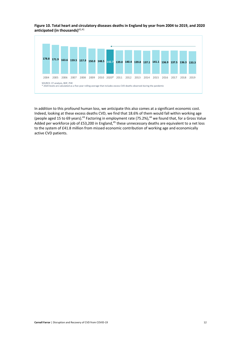**Figure 10. Total heart and circulatory diseases deaths in England by year from 2004 to 2019, and 2020 anticipated (in thousands)**42,41



In addition to this profound human loss, we anticipate this also comes at a significant economic cost. Indeed, looking at these excess deaths CVD, we find that 18.6% of them would fall within working age (people aged 15 to 69 years).<sup>43</sup> Factoring in employment rate (75.2%),<sup>44</sup> we found that, for a Gross Value Added per workforce job of £53,200 in England,<sup>45</sup> these unnecessary deaths are equivalent to a net loss to the system of £41.8 million from missed economic contribution of working age and economically active CVD patients.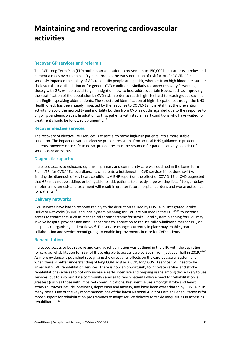## **Maintaining and recovering cardiovascular activities**

#### **Recover GP services and referrals**

The CVD Long Term Plan (LTP) outlines an aspiration to prevent up to 150,000 heart attacks, strokes and dementia cases over the next 10 years, through the early detection of risk factors. <sup>46</sup> COVID-19 has seriously impacted the ability of GPs to identify people at high risk, whether from high blood pressure or cholesterol, atrial fibrillation or for genetic CVD conditions. Similarly to cancer recovery,<sup>47</sup> working closely with GPs will be crucial to gain insight on how to best address certain issues, such as improving the stratification of the population by CVD risk in order to reach high-risk hard-to-reach groups such as non-English speaking older patients. The structured identification of high-risk patients through the NHS Health Check has been hugely impacted by the response to COVID-19. It is vital that the prevention activity to avoid the morbidity and mortality burden from CVD is not disregarded due to the response to ongoing pandemic waves. In addition to this, patients with stable heart conditions who have waited for treatment should be followed up urgently.<sup>18</sup>

#### **Recover elective services**

The recovery of elective CVD services is essential to move high-risk patients into a more stable condition. The impact on various elective procedures stems from critical NHS guidance to protect patients, however once safe to do so, procedures must be resumed for patients at very high risk of serious cardiac events.

#### **Diagnostic capacity**

Increased access to echocardiograms in primary and community care was outlined in the Long-Term Plan (LTP) for CVD.<sup>46</sup> Echocardiograms can create a bottleneck in CVD services if not done swiftly, limiting the diagnosis of key heart conditions. A BHF report on the effect of COVID-19 of CVD suggested that GPs may not be adding, or being able to add, patients to already large waiting lists.<sup>18</sup> Longer delays in referrals, diagnosis and treatment will result in greater future hospital burdens and worse outcomes for patients.<sup>18</sup>

#### **Delivery networks**

CVD services have had to respond rapidly to the disruption caused by COVID-19. Integrated Stroke Delivery Networks (ISDNs) and local system planning for CVD are outlined in the LTP,<sup>46,48</sup> to increase access to treatments such as mechanical thrombectomy for stroke. Local system planning for CVD may involve hospital provider and ambulance trust collaboration to reduce call-to-balloon times for PCI, or hospitals reorganising patient flows.<sup>16</sup> The service changes currently in place may enable greater collaboration and service reconfiguring to enable improvements in care for CVD patients.

#### **Rehabilitation**

Increased access to both stroke and cardiac rehabilitation was outlined in the LTP, with the aspiration for cardiac rehabilitation for 85% of those eligible to access care by 2028, from just over half in 2019.<sup>46,48</sup> As more evidence is published recognising the direct viral effects on the cardiovascular system and when there is better understanding of long COVID-19 as a CVD, long COVID services will need to be linked with CVD rehabilitation services. There is now an opportunity to innovate cardiac and stroke rehabilitations services to not only increase early, intensive and ongoing usage among those likely to use services, but to also reinstate community services to reach patients whose need for rehabilitation is greatest (such as those with impaired communication). Prevalent issues amongst stroke and heart attacks survivors include loneliness, depression and anxiety, and have been exacerbated by COVID-19 in many cases. One of the key recommendations of the latest National Audit of Cardiac Rehabilitation is for more support for rehabilitation programmes to adapt service delivery to tackle inequalities in accessing rehabilitation.<sup>29</sup>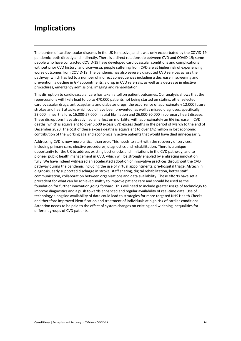## **Implications**

The burden of cardiovascular diseases in the UK is massive, and it was only exacerbated by the COVID-19 pandemic, both directly and indirectly. There is a direct relationship between CVD and COVID-19; some people who have contracted COVID-19 have developed cardiovascular conditions and complications without prior CVD history, and vice-versa, people suffering from CVD are at higher risk of experiencing worse outcomes from COVID-19. The pandemic has also severely disrupted CVD services across the pathway, which has led to a number of indirect consequences including a decrease in screening and prevention, a decline in GP appointments, a drop in CVD referrals, as well as a decrease in elective procedures, emergency admissions, imaging and rehabilitation.

This disruption to cardiovascular care has taken a toll on patient outcomes. Our analysis shows that the repercussions will likely lead to up to 470,000 patients not being started on statins, other selected cardiovascular drugs, anticoagulants and diabetes drugs, the occurrence of approximately 12,000 future strokes and heart attacks which could have been prevented, as well as missed diagnoses, specifically 23,000 in heart failure, 16,000-57,000 in atrial fibrillation and 26,000-90,000 in coronary heart disease. These disruptions have already had an effect on mortality, with approximately an 6% increase in CVD deaths, which is equivalent to over 5,600 excess CVD excess deaths in the period of March to the end of December 2020. The cost of these excess deaths is equivalent to over £42 million in lost economic contribution of the working age and economically active patients that would have died unnecessarily.

Addressing CVD is now more critical than ever. This needs to start with the recovery of services, including primary care, elective procedures, diagnostics and rehabilitation. There is a unique opportunity for the UK to address existing bottlenecks and limitations in the CVD pathway, and to pioneer public health management in CVD, which will be strongly enabled by embracing innovation fully. We have indeed witnessed an accelerated adoption of innovative practices throughout the CVD pathway during the pandemic including the use of virtual appointments, pre-hospital triage, AI/tech in diagnosis, early supported discharge in stroke, staff sharing, digital rehabilitation, better staff communication, collaboration between organisations and data availability. These efforts have set a precedent for what can be achieved swiftly to improve patient care and should be used as the foundation for further innovation going forward. This will need to include greater usage of technology to improve diagnostics and a push towards enhanced and regular availability of real-time data. Use of technology alongside availability of data could lead to strategies for more targeted NHS Health Checks and therefore improved identification and treatment of individuals at high risk of cardiac conditions. Attention needs to be paid to the effect of system changes on existing and widening inequalities for different groups of CVD patients.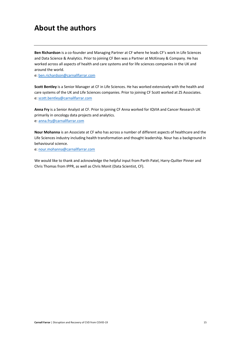## **About the authors**

**Ben Richardson** is a co-founder and Managing Partner at CF where he leads CF's work in Life Sciences and Data Science & Analytics. Prior to joining CF Ben was a Partner at McKinsey & Company. He has worked across all aspects of health and care systems and for life sciences companies in the UK and around the world.

e: ben.richardson@carnallfarrar.com

**Scott Bentley** is a Senior Manager at CF in Life Sciences. He has worked extensively with the health and care systems of the UK and Life Sciences companies. Prior to joining CF Scott worked at ZS Associates. e: scott.bentley@carnallfarrar.com

**Anna Fry** is a Senior Analyst at CF. Prior to joining CF Anna worked for IQVIA and Cancer Research UK primarily in oncology data projects and analytics. e: anna.fry@carnallfarrar.com

**Nour Mohanna** is an Associate at CF who has across a number of different aspects of healthcare and the Life Sciences industry including health transformation and thought leadership. Nour has a background in behavioural science.

e: nour.mohanna@carnallfarrar.com

We would like to thank and acknowledge the helpful input from Parth Patel, Harry-Quilter Pinner and Chris Thomas from IPPR, as well as Chris Monit (Data Scientist, CF).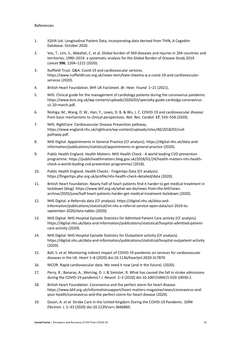- 1. IQVIA Ltd. Longitudinal Patient Data, incorporating data derived from THIN, A Cegedim Database. October 2020.
- 2. Vos, T., Lim, S., Abbafati, C. et al. Global burden of 369 diseases and injuries in 204 countries and territories, 1990–2019: a systematic analysis for the Global Burden of Disease Study 2019. *Lancet* **396**, 1204–1222 (2020).
- 3. Nuffield Trust. Q&A: Covid-19 and cardiovascular services. https://www.nuffieldtrust.org.uk/news-item/kate-cheema-q-a-covid-19-and-cardiovascularservices (2020).
- 4. British Heart Foundation. BHF UK Factsheet. *Br. Hear. Found.* 1–21 (2021).
- 5. NHS. Clinical guide for the management of cardiology patients during the coronavirus pandemic. https://www.bcis.org.uk/wp-content/uploads/2020/03/specialty-guide-cardiolgy-coronavirusv1-20-march.pdf.
- 6. Nishiga, M., Wang, D. W., Han, Y., Lewis, D. B. & Wu, J. C. COVID-19 and cardiovascular disease: from basic mechanisms to clinical perspectives. *Nat. Rev. Cardiol.* **17**, 543–558 (2020).
- 7. NHS. RightCare: Cardiovascular Disease Prevention pathway. https://www.england.nhs.uk/rightcare/wp-content/uploads/sites/40/2018/02/cvdpathway.pdf.
- 8. NHS Digital. Appointments in General Practice (CF analysis). https://digital.nhs.uk/data-andinformation/publications/statistical/appointments-in-general-practice (2020).
- 9. Public Health England. Health Matters: NHS Health Check A world leading CVD prevention programme. https://publichealthmatters.blog.gov.uk/2018/01/24/health-matters-nhs-healthcheck-a-world-leading-cvd-prevention-programme/ (2018).
- 10. Public Health England. Health Checks Fingertips Data (CF analysis). https://fingertips.phe.org.uk/profile/nhs-health-check-detailed/data (2020).
- 11. British Heart Foundation. Nearly half of heart patients find it harder to get medical treatment in lockdown (blog). https://www.bhf.org.uk/what-we-do/news-from-the-bhf/newsarchive/2020/june/half-heart-patients-harder-get-medical-treatment-lockdown (2020).
- 12. NHS Digital. e-Referrals data (CF analysis). https://digital.nhs.uk/data-andinformation/publications/statistical/mi-nhs-e-referral-service-open-data/oct-2019-toseptember-2020/data-tables (2020).
- 13. NHS Digital. NHS Hospital Episode Statistics for Admitted Patient Care activity (CF analysis). https://digital.nhs.uk/data-and-information/publications/statistical/hospital-admitted-patientcare-activity (2020).
- 14. NHS Digital. NHS Hospital Episode Statistics for Outpatient activity (CF analysis). https://digital.nhs.uk/data-and-information/publications/statistical/hospital-outpatient-activity (2020).
- 15. Ball, S. *et al.* Monitoring indirect impact of COVID-19 pandemic on services for cardiovascular diseases in the UK. *Heart* 1–8 (2020) doi:10.1136/heartjnl-2020-317870.
- 16. NICOR. Rapid cardiovascular data: We need it now (and in the future). (2020).
- 17. Perry, R., Banaras, A., Werring, D. J. & Simister, R. What has caused the fall in stroke admissions during the COVID-19 pandemic? *J. Neurol.* 2–3 (2020) doi:10.1007/s00415-020-10030-2.
- 18. British Heart Foundation. Coronavirus and the perfect storm for heart disease. https://www.bhf.org.uk/informationsupport/heart-matters-magazine/news/coronavirus-andyour-health/coronavirus-and-the-perfect-storm-for-heart-disease (2020).
- 19. Douiri, A. *et al.* Stroke Care in the United Kingdom During the COVID-19 Pandemic. *SSRN Electron. J.* 1–33 (2020) doi:10.2139/ssrn.3666860.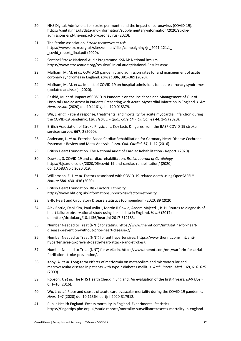- 20. NHS Digital. Admissions for stroke per month and the impact of coronavirus (COVID-19). https://digital.nhs.uk/data-and-information/supplementary-information/2020/strokeadmissions-and-the-impact-of-coronavirus (2020).
- 21. The Stroke Association. *Stroke recoveries at risk*. https://www.stroke.org.uk/sites/default/files/campaigning/jn\_2021-121.1\_covid report final.pdf (2020).
- 22. Sentinel Stroke National Audit Programme. SSNAP National Results. https://www.strokeaudit.org/results/Clinical-audit/National-Results.aspx.
- 23. Mafham, M. M. *et al.* COVID-19 pandemic and admission rates for and management of acute coronary syndromes in England. *Lancet* **396**, 381–389 (2020).
- 24. Mafham, M. M. *et al.* Impact of COVID-19 on hospital admissions for acute coronary syndromes (updated analyses). (2020).
- 25. Rashid, M. *et al.* Impact of COVID19 Pandemic on the Incidence and Management of Out of Hospital Cardiac Arrest in Patients Presenting with Acute Myocardial Infarction in England. *J. Am. Heart Assoc.* (2020) doi:10.1161/jaha.120.018379.
- 26. Wu, J. *et al.* Patient response, treatments, and mortality for acute myocardial infarction during the COVID-19 pandemic. *Eur. Hear. J. - Qual. Care Clin. Outcomes* **44**, 1–9 (2020).
- 27. British Association of Stroke Physicians. Key facts & figures from the BASP COVID-19 stroke services survey. **667**, 2 (2020).
- 28. Anderson, L. *et al.* Exercise-Based Cardiac Rehabilitation for Coronary Heart Disease Cochrane Systematic Review and Meta-Analysis. *J. Am. Coll. Cardiol.* **67**, 1–12 (2016).
- 29. British Heart Foundation. The National Audit of Cardiac Rehabilitation Report. (2020).
- 30. Dawkes, S. COVID-19 and cardiac rehabilitation. *British Journal of Cardiology* https://bjcardio.co.uk/2020/06/covid-19-and-cardiac-rehabilitation/ (2020) doi:10.5837/bjc.2020.019.
- 31. Williamson, E. J. *et al.* Factors associated with COVID-19-related death using OpenSAFELY. *Nature* **584**, 430–436 (2020).
- 32. British Heart Foundation. Risk Factors: Ethnicity. https://www.bhf.org.uk/informationsupport/risk-factors/ethnicity.
- 33. BHF. Heart and Circulatory Disease Statistics (Compendium) 2020. 89 (2020).
- 34. Alex Bottle, Dani Kim, Paul Aylin1, Martin R Cowie, Azeem Majeed1, B. H. Routes to diagnosis of heart failure: observational study using linked data in England. *Heart* (2017) doi:http://dx.doi.org/10.1136/heartjnl-2017-312183.
- 35. Number Needed to Treat (NNT) for statins. https://www.thennt.com/nnt/statins-for-heartdisease-prevention-without-prior-heart-disease-2/.
- 36. Number Needed to Treat (NNT) for antihypertensives. https://www.thennt.com/nnt/antihypertensives-to-prevent-death-heart-attacks-and-strokes/.
- 37. Number Needed to Treat (NNT) for warfarin. https://www.thennt.com/nnt/warfarin-for-atrialfibrillation-stroke-prevention/.
- 38. Kooy, A. *et al.* Long-term effects of metformin on metabolism and microvascular and macrovascular disease in patients with type 2 diabetes mellitus. *Arch. Intern. Med.* **169**, 616–625 (2009).
- 39. Robson, J. *et al.* The NHS Health Check in England: An evaluation of the first 4 years. *BMJ Open* **6**, 1–10 (2016).
- 40. Wu, J. *et al.* Place and causes of acute cardiovascular mortality during the COVID-19 pandemic. *Heart* 1–7 (2020) doi:10.1136/heartjnl-2020-317912.
- 41. Public Health England. Excess mortality in England, Experimental Statistics. https://fingertips.phe.org.uk/static-reports/mortality-surveillance/excess-mortality-in-england-